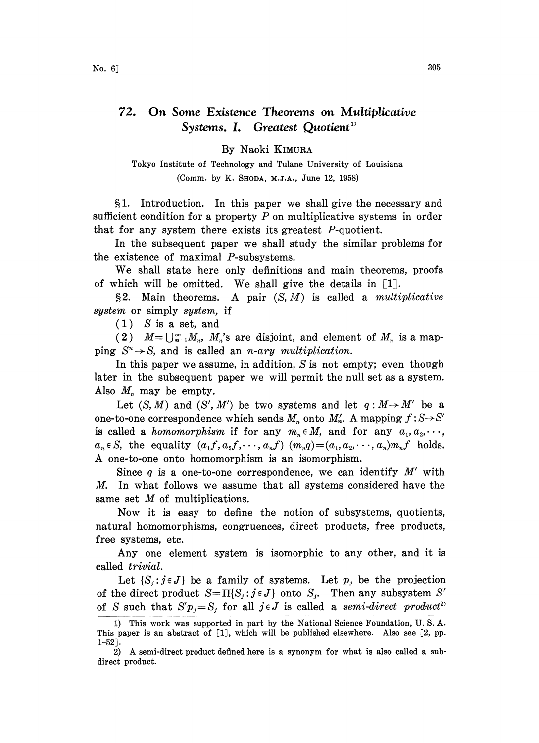## 72. On Some Existence Theorems on Multiplicative Systems. I. Greatest Quotient<sup>1</sup>

## By Naoki KIMURA

Tokyo Institute of Technology and Tulane University of Louisiana (Comm. by K. SHODA, M.J.A., June 12, 1958)

1. Introduction. In this paper we shall give the necessary and sufficient condition for a property  $P$  on multiplicative systems in order that for any system there exists its greatest P-quotient.

In the subsequent paper we shall study the similar problems for the existence of maximal P-subsystems.

We shall state here only definitions and main theorems, proofs of which will be omitted. We shall give the details in  $\lceil 1 \rceil$ .

§2. Main theorems. A pair  $(S, M)$  is called a *multiplicative* system or simply system, if

(1) S is a set, and

(2)  $M=\bigcup_{n=1}^{\infty}M_n$ ,  $M_n$ 's are disjoint, and element of  $M_n$  is a mapping  $S^n \rightarrow S$ , and is called an *n*-ary multiplication.

In this paper we assume, in addition, S is not empty; even though later in the subsequent paper we will permit the null set as a system. Also  $M_n$  may be empty.

Let  $(S, M)$  and  $(S', M')$  be two systems and let  $q : M \rightarrow M'$  be a one-to-one correspondence which sends  $M_n$  onto  $M'_n$ . A mapping  $f: S \rightarrow S'$ is called a *homomorphism* if for any  $m_n \in M$ , and for any  $a_1, a_2, \dots$ ,  $a_n \in S$ , the equality  $(a_1, a_2, \dots, a_n, f)$   $(m_nq) = (a_1, a_2, \dots, a_n)m_n f$  holds. A one-to-one onto homomorphism is an isomorphism.

Since  $q$  is a one-to-one correspondence, we can identify  $M'$  with M. In what follows we assume that all systems considered have the same set  $M$  of multiplications.

Now it is easy to define the notion of subsystems, quotients, natural homomorphisms, congruences, direct products, free products, free systems, etc.

Any one element system is isomorphic to any other, and it is called trivial.

Let  $\{S_j:j\in J\}$  be a family of systems. Let  $p_j$  be the projection of the direct product  $S=\Pi\{S_j:j\in J\}$  onto  $S_j$ . Then any subsystem S' of S such that  $S'p_j = S_j$  for all  $j \in J$  is called a semi-direct product<sup>2)</sup>

<sup>1)</sup> This work was supported in part by the National Science Foundation, U. S. A. This paper is an abstract of [1], which will be published elsewhere. Also see [2, pp. 1-52].

<sup>2)</sup> A semi-direct product defined here is <sup>a</sup> synonym for what is also called <sup>a</sup> subdirect product.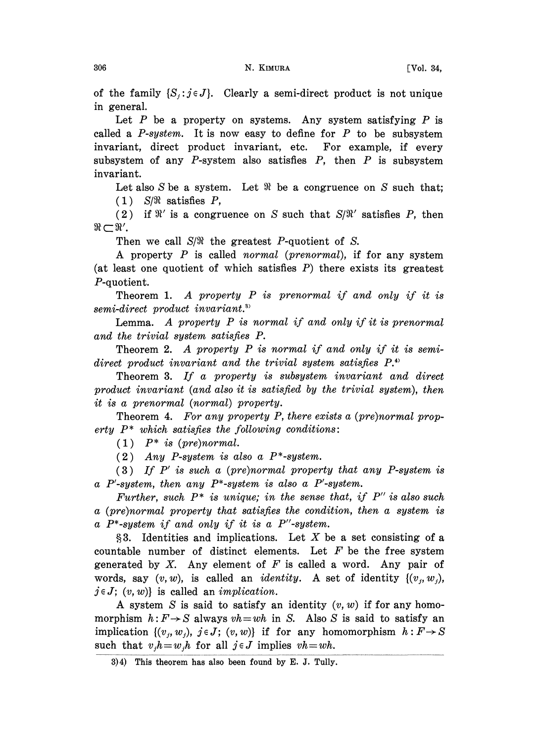of the family  $\{S_i:j \in J\}$ . Clearly a semi-direct product is not unique in general.

Let  $P$  be a property on systems. Any system satisfying  $P$  is called a  $P$ -system. It is now easy to define for  $P$  to be subsystem invariant, direct product invariant, etc. For example, if every subsystem of any  $P$ -system also satisfies  $P$ , then  $P$  is subsystem invariant.

Let also  $S$  be a system. Let  $\Re$  be a congruence on  $S$  such that;  $(1)$  S/ $\Re$  satisfies P,

(2) if  $\mathbb{R}'$  is a congruence on S such that  $S/\mathbb{R}'$  satisfies P, then  $\mathbb{R}'$ .  $\Re \subset \Re'$ .

Then we call  $S/\Re$  the greatest P-quotient of S.

A property  $P$  is called normal (prenormal), if for any system (at least one quotient of which satisfies  $P$ ) there exists its greatest P-quotient.

Theorem 1. A property  $P$  is prenormal if and only if it is semi-direct product invariant.<sup>33</sup>

Lemma. A property  $P$  is normal if and only if it is prenormal and the trivial system satisfies P.

Theorem 2. A property P is normal if and only if it is semidirect product invariant and the trivial system satisfies  $P^*$ .

Theorem 3. If a property is subsystem invariant and direct product invariant (and also it is satisfied by the trivial system), then it is a prenormal (normal) property.

Theorem 4. For any property P, there exists a (pre)normal property  $P^*$  which satisfies the following conditions:

 $(1)$   $P^*$  is (pre)normal.

(2) Any P-system is also a  $P^*$ -system.

 $(3)$  If P' is such a (pre)normal property that any P-system is a P'-system, then any  $P^*$ -system is also a P'-system.

Further, such  $P^*$  is unique; in the sense that, if  $P''$  is also such a (pre)normal property that satisfies the condition, then a system is a P\*-system if and only if it is a P"-system.

 $§3.$  Identities and implications. Let X be a set consisting of a countable number of distinct elements. Let  $F$  be the free system generated by  $X$ . Any element of  $F$  is called a word. Any pair of words, say  $(v, w)$ , is called an *identity*. A set of identity  $\{(v_i, w_i)\}$ ,  $j \in J$ ;  $(v, w)$  is called an *implication*.

A system S is said to satisfy an identity  $(v, w)$  if for any homomorphism  $h: F \rightarrow S$  always  $vh = wh$  in S. Also S is said to satisfy an implication  $\{(v_i, w_j), j \in J; (v, w)\}\$ if for any homomorphism  $h: F \to S$ such that  $v_i h = w_i h$  for all  $j \in J$  implies  $vh = wh$ .

<sup>3)4)</sup> This theorem has also been found by E. J. Tully.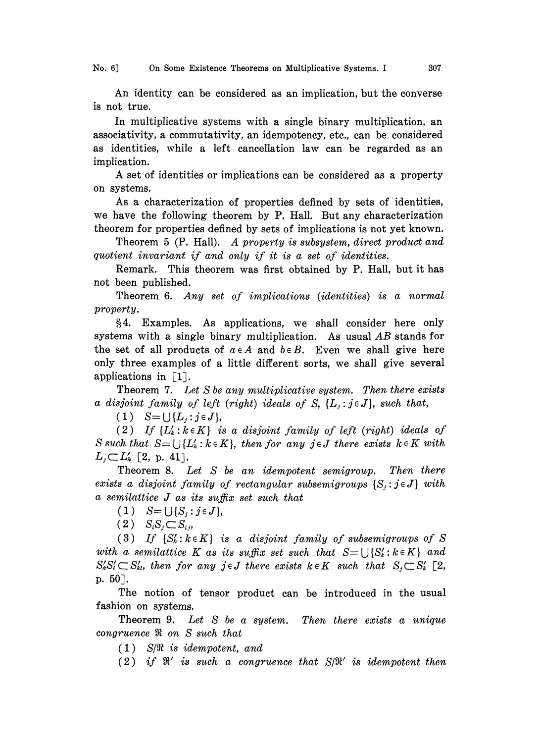No. 6] On Some Existence Theorems on Multiplicative Systems. I 307

An identity can be considered as an implication, but the converse is not true.

In multiplicative systems with a single binary multiplication, an associativity, a commutativity, an idempotency, etc., can be considered as identities, while a left cancellation law can be regarded as an implication.

A set of identities or implications can be considered as <sup>a</sup> property on systems.

As a characterization of properties defined by sets of identities, we have the following theorem by P. Hall. But any characterization theorem for properties defined by sets of implications is not yet known.

Theorem <sup>5</sup> (P. Hall). A property is subsystem, direct product and quotient invariant if and only if it is a set of identities.

Remark. This theorem was first obtained by P. Hall, but it has not been published.

Theorem 6. Any set of implications (identities) is a normal property.

4. Examples. As applications, we shall consider here only systems with a single binary multiplication. As usual  $AB$  stands for the set of all products of  $a \in A$  and  $b \in B$ . Even we shall give here only three examples of a little different sorts, we shall give several applications in  $\lceil 1 \rceil$ .

Theorem 7. Let S be any multiplicative system. Then there exists a disjoint family of left (right) ideals of S,  $\{L_i:j\in J\}$ , such that,

 $(1)$   $S = \bigcup \{L_i : j \in J\},\$ 

(2) If  $\{L_k : k \in K\}$  is a disjoint family of left (right) ideals of S such that  $S = \bigcup \{L'_k : k \in K\}$ , then for any  $j \in J$  there exists  $k \in K$  with  $L_i \subset L'_k$  [2, p. 41].

Theorem 8. Let S be an idempotent semigroup. Then there exists a disjoint family of rectangular subsemigroups  $\{S_i : j \in J\}$  with  $a$  semilattice  $J$  as its suffix set such that

(1)  $S = \bigcup \{S_i : j \in J\},\$ 

 $(2)$   $S_iS_j \subset S_i$ 

(3) If  $\{S'_k : k \in K\}$  is a disjoint family of subsemigroups of S with a semilattice K as its suffix set such that  $S = \bigcup \{S'_k : k \in K\}$  and  $S'_{k}S'_{k} \subset S'_{k}$ , then for any jeJ there exists  $k \in K$  such that  $S_{j} \subset S'_{k}$  [2, p. 50].

The notion of tensor product can be introduced in the usual fashion on systems.

Theorem 9. Let S be a system. Then there exists a unique congruence  $\Re$  on  $S$  such that

 $(1)$  S/ $\Re$  is idempotent, and

 $(2)$  if  $\Re'$  is such a congruence that  $S/\Re'$  is idempotent then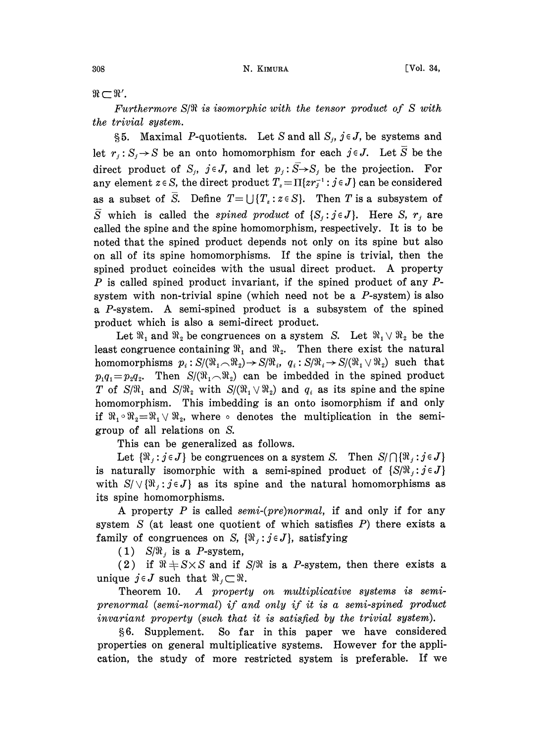$\Re \subset \Re'$ .

Furthermore  $S/\Re$  is isomorphic with the tensor product of S with the trivial system.

§5. Maximal P-quotients. Let S and all  $S_i$ ,  $j \in J$ , be systems and let  $r_j : S_j \to S$  be an onto homomorphism for each  $j \in J$ . Let  $\overline{S}$  be the direct product of  $S_j$ ,  $j \in J$ , and let  $p_j : \overline{S} \rightarrow S_j$  be the projection. For any element  $z \in S$ , the direct product  $T_z = \prod\{z r_j^{-1} : j \in J\}$  can be considered as a subset of  $\overline{S}$ . Define  $T = \bigcup \{T_z : z \in S\}$ . Then T is a subsystem of  $\overline{S}$  which is called the spined product of  $\{S_i:j\in J\}$ . Here S,  $r_i$  are called the spine and the spine homomorphism, respectively. It is to be noted that the spined product depends not only on its spine but also on all of its spine homomorphisms. If the spine is trivial, then the spined product coincides with the usual direct product. A property  $P$  is called spined product invariant, if the spined product of any  $P$ system with non-trivial spine (which need not be a  $P$ -system) is also <sup>a</sup> P-system. A semi-spined product is <sup>a</sup> subsystem of the spined product which is also a semi-direct product.

Let  $\Re_1$  and  $\Re_2$  be congruences on a system S. Let  $\Re_1 \vee \Re_2$  be the least congruence containing  $\Re_1$  and  $\Re_2$ . Then there exist the natural homomorphisms  $p_i : S/(W_1 \tImes W_2) \to S/W_i$ ,  $q_i : S/W_i \to S/(W_1 \tImes W_2)$  such that  $p_1q_1 = p_2q_2$ . Then  $S/(W_1 \tImes W_2)$  can be imbedded in the spined product  $p_1q_1=p_2q_2$ . Then  $S/(W_1\cap W_2)$  can be imbedded in the spined product T of  $S/\mathfrak{N}_1$  and  $S/\mathfrak{N}_2$  with  $S/(\mathfrak{N}_1 \vee \mathfrak{N}_2)$  and  $q_i$  as its spine and the spine homomorphism. This imbedding is an onto isomorphism if and only if  $\Re_1 \circ \Re_2 = \Re_1 \vee \Re_2$ , where  $\circ$  denotes the multiplication in the semigroup of all relations on S.

This can be generalized as follows.

Let  $\{\Re_j : j \in J\}$  be congruences on a system S. Then  $S/\bigcap \{\Re_j : j \in J\}$ is naturally isomorphic with a semi-spined product of  $\{S/\Re\}$ ;  $j \in J\}$ with  $S/\sqrt{\{\mathfrak{R}_i:j\in J\}}$  as its spine and the natural homomorphisms as its spine homomorphisms.

A property  $P$  is called semi-(pre)normal, if and only if for any system  $S$  (at least one quotient of which satisfies  $P$ ) there exists a family of congruences on S,  $\{\Re_i : j \in J\}$ , satisfying

(1)  $S/\Re$ , is a P-system,

(2) if  $\Re + S \times S$  and if  $S/\Re$  is a P-system, then there exists a unique  $j \in J$  such that  $\mathfrak{R}_j \subset \mathfrak{R}$ .

Theorem 10. A property on multiplicative systems is semiprenormal (semi-normal) if and only if it is a semi-spined product invariant property (such that it is satisfied by the trivial system).

6. Supplement. So far in this paper we have considered properties on general multiplicative systems. However for the application, the study of more restricted system is preferable. If we